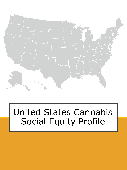

## United States Cannabis Social Equity Profile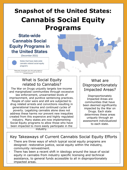### **Snapshot of the United States: Cannabis Social Equity Programs**

#### **State-wide Cannabis Social Equity Programs in** the United States

(December 2021)



States that have state-wide cannabis related social equity programs

Please note: CA has broken down their equity program to a county level, but offer grants to counties and cities for individual programs

#### What is Social Equity related to Cannabis?

The War on Drugs unjustly targets low-income and marginalized communities through excessive law enforcement, unwarranted levels of imprisonment, and punitive sentencing practices. People of color were and still are subjected to drug related arrests and convictions resulting in generational trauma and continued cycles of poverty. Legalizing cannabis alone does not address these harms nor prevent new inequities created from this expensive and highly regulated industry. Many states are now implementing Social Equity programs to allow those who have been impacted to more easily participate in the industry.

What are Disproportionately Impacted Areas?

Disproportionately Impacted Areas are communities that have been deemed significantly impacted by the War on Drugs. Each state determines these areas uniquely through an assessment individualized to each state.

#### Key Takeaways of Current Cannabis Social Equity Efforts

- There are three ways of which typical social equity programs are  $\,$ designed: restorative justice, social equity within the industry, community reinvestment.
- There has been a recent shift in ideology around the issue of social  $\rightarrow$ equity in cannabis from industry specific licensing and technical assistance, to general funds accessible to all in disproportionately impacted areas.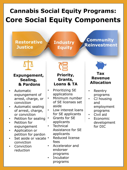### **Cannabis Social Equity Programs: Core Social Equity Components**

**Restorative Justice**

**Industry Equity**

### **Community Reinvestment**

#### **Expungement, Sealing, & Pardons**

- Automatic expungement of arrest, charge, or conviction
- Automatic sealing of arrest, charge, or conviction
- Petition for sealing
- Petition for expungement
- Application or petition for pardon
- Set aside or vacate  $\cdot$ conviction
- Conviction reduction

#### **Priority, Grants, Loans & TA**

- Prioritizing SE applications
	- Minimum number of SE licenses set aside
- Low interest loans for SE applicants
- Grants for SE applicants
- **Technical** Assistance for SE applicants
- Reduced license fees
- Accelerator and endorser programs
- Incubator programs



#### **Tax Revenue Allocation**

- **Reentry** programs
- CJ housing and employment programs
- Civil aid
	- **Economic** development for DIC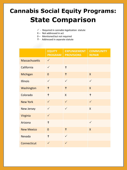### **Cannabis Social Equity Programs: State Comparison**

- $\checkmark$  Required in cannabis legalization statute
- X Not addressed in act
- 0 Mentioned but not required
- **Restorative Industry**  - Addressed in separate statute

|  |                      | <b>EQUITY</b><br><b>PROGRAM</b> | <b>EXPUNGEMENT</b><br><b>PROVISIONS</b> | <b>COMMUNITY</b><br><b>REPAIR</b> |
|--|----------------------|---------------------------------|-----------------------------------------|-----------------------------------|
|  | <b>Massachusetts</b> | $\checkmark$                    |                                         |                                   |
|  | California           | $\checkmark$                    | $\ddagger$                              |                                   |
|  | Michigan             | $\overline{0}$                  | $\ddagger$                              | $\mathsf{X}$                      |
|  | <b>Illinois</b>      | $\checkmark$                    | $\checkmark$                            | $\checkmark$                      |
|  | Washington           | $\ddagger$                      | $\ddagger$                              | $\mathsf{X}$                      |
|  | Colorado             | $\ddagger$                      | X                                       | $\ddagger$                        |
|  | <b>New York</b>      | $\checkmark$                    | $\checkmark$                            | $\checkmark$                      |
|  | <b>New Jersey</b>    | $\checkmark$                    | $\checkmark$                            | $\overline{X}$                    |
|  | Virginia             | $\checkmark$                    |                                         |                                   |
|  | Arizona              | $\ddagger$                      |                                         | $\checkmark$                      |
|  | <b>New Mexico</b>    | $\overline{0}$                  | $\ddagger$                              | $\mathsf{X}$                      |
|  | Nevada               | $\ddagger$                      | $\checkmark$                            |                                   |
|  | Connecticut          | $\checkmark$                    | $\checkmark$                            |                                   |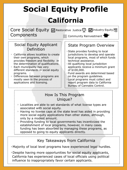# **Social Equity Profile California**

Core Social Equity M Restorative Justice 41 M Industry Equity (目 **Components** Community Reinvestment<sup>4</sup>

#### Social Equity Applicant Definition

- $\rightarrow$  California allows localities to create their own programs, which provides freedom and flexibility in the determination of qualifications.
- $\times$  Each municipality has very different standards in social equity programs.
- $\rightarrow$  Differences between programs are mostly seen in the process of applications and licensing.

#### State Program Overview

- $\rightarrow$  State provides funding to local jurisdictions to develop and operate local programs, most of which funds technical assistance.
- All qualifying local jurisdiction applicants receive a minimum grant of \$100,000.
- Fund awards are determined based on the program guidelines.
- Local programs must collect and report program data to California Bureau of Cannabis Control.

#### How Is This Program Unique?

- $\rightarrow$  Localities are able to set standards of what license types are associated with social equity.
- $\rightarrow$  Having no license caps at the state level has aided in providing more social equity applications than other states, although, only by a modest amount.
- $\rightarrow$  Providing funding to local governments has incentivized the establishment of local programs, however, in many cases funding has been absorbed by managing these programs, as opposed to going to equity applicants directly.

#### Key Takeaways from California

Majority of local level programs have experienced legal hurdles.

 $\rightarrow$  Despite having more opportunities for social equity applicants, California has experienced cases of local officials using political influence to inappropriately favor certain applicants.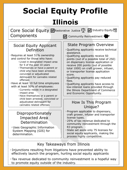## **Social Equity Profile Illinois**

#### Core Social Equity ZRestorative Justice 11 Z Industry Equity (目 ComponentsCommunity Reinvestment

#### Social Equity Applicant Definition

 $\rightarrow$  Requires at least 51% ownership and control for those who have:

- $\rightarrow$  Lived in designated impact area for 5 of the past 10 years
- $\rightarrow$  Themselves or have a parent or child who have been arrested, convicted or adjudicated delinquent for cannabis related offenses

 $\rightarrow$  Have at least 10 full time employees with at least 50% of employees:

- Currently reside in a designated impact area
- $\rightarrow$  Have themselves or a parent or child been arrested, convicted or adjudicated delinquent for cannabis related offenses

#### Disproportionately Impacted Area Determination

Uses Geographic Information System Mapping (GIS) for determination.

#### State Program Overview

- Qualifying applicants receive technical assistance.
- $\rightarrow$  Qualifying applicants receive 50 points (out of a possible total of 250) on dispensary license application or receive 200 points (out of possible total 1000) on craft grower, infuser, or transporter license application score.
- $\rightarrow$  Qualifying applicants pay reduced fees.
- $\rightarrow$  Qualifying applicants have access to low-interest loans provided through the Illinois Department of Commerce and Economic Opportunity.

#### How Is This Program Unique?

- $\rightarrow$  Program applicable to dispensary, craft grower, infuser and transporter license types.
- $\rightarrow$  25% of tax revenue dedicated to community reinvestment through the R3 program.
- $\rightarrow$  State set aside only 75 licenses for social equity applicants, making the process highly competitive.

#### Key Takeaways from Illinois

 $\rightarrow$  Injunctions resulting from litigations have prevented ability to effectively launch the program, hurting social equity applicants

 $\rightarrow$  Tax revenue dedicated to community reinvestment is a hopeful way to promote equity outside of the industry.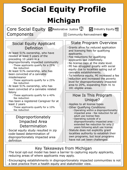# **Social Equity Profile Michigan**

#### Core Social Equity DRestorative Justice <sup>41</sup> DIndustry Equity (目 Components

#### Social Equity Applicant Definition

- $\rightarrow$  At least 51% ownership, who have resided at least 5 years of the preceding 10 years in a disproportionally impacted community  $\rightarrow$  These applicants qualify for a 25% fee reduction  $\rightarrow$  At least 51% ownership, who has been convicted of a cannabis
	- misdemeanor  $\rightarrow$  These applicants qualify for a 25% fee reduction
- $\rightarrow$  At least 51% ownership, who has been convicted of a cannabis related felony
	- $\rightarrow$  These applicants qualify for a 40% fee reduction
- $\rightarrow$  Has been a registered Caregiver for at least 2 years
	- $\rightarrow$  These applicants qualify for a 10% fee reduction

#### Disproportionately Impacted Area Determination

 $\rightarrow$  Social equity study resulted in zip code-based determination of disproportionately impacted area definition

### State Program Overview

- $\rightarrow$  Grants allow for reduced application and licensing fees for qualifying applicants.
- $\rightarrow$  Fee reductions for qualifying applicants last indefinitely.

Community Reinvestment

- $\rightarrow$  No license caps at the state level.
- $\rightarrow$  MI has struggled greatly with social equity due to localities opting out of cannabis establishments.
- $\rightarrow$  To reinforce equity, MI increased a fee reduction and increased the poverty level for disproportionately impacted area to 20%, expanding from 41 to 181 eligible areas.

#### How Is This Program Unique?

- $\rightarrow$  Applies to all license types
- Other Qualifying Conditions:
	- Operating within a disproportionality impacted area - fee reduction for all adult use license fees
	- $\rightarrow$  Operating outside of a disproportionality impacted area extended fee reduction for only 2 years following adult use license
- $\rightarrow$  Statute does not explicitly grant localities authority to establish their own programs, but local programs have not yet been challenged.

#### Key Takeaways from Michigan

- The local opt-out model has been a barrier to capturing equity applicants, reducing areas of where applicants may apply.
- $\rightarrow$  Encouraging establishments in disproportionately impacted communities is not a best practice from a health equity and stakeholder view.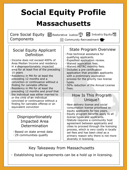# **Social Equity Profile Massachusetts**

| Core Social Equity M Restorative Justice 41 M Industry Equity (<br>Components<br>Community Reinvestment                                                                                                                                                                                                                                                                                                                                                                                                                                                             |                                                                                                                                                                                                                                                                                                                                                                                                                                                                                                           |  |  |  |
|---------------------------------------------------------------------------------------------------------------------------------------------------------------------------------------------------------------------------------------------------------------------------------------------------------------------------------------------------------------------------------------------------------------------------------------------------------------------------------------------------------------------------------------------------------------------|-----------------------------------------------------------------------------------------------------------------------------------------------------------------------------------------------------------------------------------------------------------------------------------------------------------------------------------------------------------------------------------------------------------------------------------------------------------------------------------------------------------|--|--|--|
| Social Equity Applicant<br>Definition<br>$\rightarrow$ Income does not exceed 400% of<br>Area Median Income and residency<br>in a disproportionately impacted<br>area for at least five of the preceding<br>10 years<br>$\rightarrow$ Residency in MA for at least the<br>preceding 12 months and a<br>conviction or continuance without a<br>finding for cannabis offense<br>Residency in MA for at least the<br>preceding 12 months and proof that<br>the individual was either married to<br>or the child of an individual<br>convicted or continuance without a | <b>State Program Overview</b><br>$\rightarrow$ Free technical assistance for<br>qualifying applicants.<br>$\rightarrow$ Expedited application review.<br>$\rightarrow$ Waived application fees.<br>> Waived METRC monthly fees.<br>$\rightarrow$ Includes a pre-certification<br>application that provides applicants<br>with a preliminary application<br>process for the priority two license<br>types.<br>$\rightarrow$ 50% reduction of the Annual License<br>Fees.<br>How Is This Program<br>Unique? |  |  |  |
| finding for cannabis offense or an<br>equivalent conviction<br>Disproportionately<br><b>Impacted Area</b><br>Determination<br>$\rightarrow$ Based on state arrest data<br>$\rightarrow$ 29 communities qualify                                                                                                                                                                                                                                                                                                                                                      | > New delivery license and social<br>consumption license prioritized to<br>equity applicants for two years.<br>> Equity program benefits apply to all<br>license types and applicants.<br>$\rightarrow$ Statute requires a community host<br>agreement between applicants and<br>cities to proceed through the licensing<br>process, which is very costly in locally<br>set fees and has been cited as a<br>primary reason why there is not more<br>diversity in licensing.                               |  |  |  |

Key Takeaway from Massachusetts

 $\rightarrow$  Establishing local agreements can be a hold up in licensing.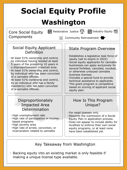## **Social Equity Profile Washington**

Core Social Equity Components

 $\sqrt{\phantom{a}}$  Restorative Justice  $\frac{\sqrt{a}}{2}$   $\sqrt{\phantom{a}}$  Industry Equity  $\sqrt{a}$ 

#### Social Equity Applicant Definition

 $\rightarrow$  At least 51% ownership and control, by individual having resided at least 5 years of the preceding 10 years in a disproportionately impacted area.

- $\rightarrow$  At least 51% ownership and control, by individual who has been convicted of a cannabis offense.
- $\rightarrow$  At least 51% ownership and control, by an individual who has a family member(s) who has been convicted of a cannabis offense.

#### Disproportionately Impacted Area Determination

 $\rightarrow$  High unemployment rate

- $\rightarrow$  High rate of participation in incomebased programs
- $\rightarrow$  High poverty area
- $\rightarrow$  High rate of arrest, conviction, or incarceration related to cannabis

### $\rightarrow$  Establishes a legislative task force of

State Program Overview

Community Reinvestment

- equity (set to expire in 2022)
- $\rightarrow$  Social equity applicants for cannabis businesses can apply exclusively for several forfeited, canceled, revoked, or otherwise unissued cannabis business licenses.
- $\rightarrow$  Includes a special fund to provide technical assistance to applicants.
- $\rightarrow$  This grant program is competitive based on scoring of applicant social equity plan.

#### How Is This Program Unique?

- $\rightarrow$  For retail licenses only.
- $\rightarrow$  Requires the submission of a Social Equity Plan in application process.
- $\rightarrow$  Does not appear to include ability for localities to enforce their own social equity programs, or at least none have been established yet.

#### Key Takeaway from Washington

 $\rightarrow$  Backing equity into an existing market is only feasible if making a unique license type available.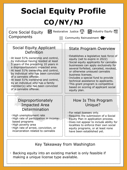# **Social Equity Profile CO/NY/NJ**

Core Social Equity Components

 $\sqrt{\phantom{a}}$  Restorative Justice  $\frac{\sqrt{a}}{2}$   $\sqrt{\phantom{a}}$  Industry Equity  $\sqrt{a}$ 

#### Social Equity Applicant Definition

 $\rightarrow$  At least 51% ownership and control, by individual having resided at least 5 years of the preceding 10 years in a disproportionately impacted area.

- $\rightarrow$  At least 51% ownership and control, by individual who has been convicted of a cannabis offense.
- $\rightarrow$  At least 51% ownership and control, by an individual who has a family member(s) who has been convicted of a cannabis offense.

#### Disproportionately Impacted Area Determination

 $\rightarrow$  High unemployment rate

- $\rightarrow$  High rate of participation in incomebased programs
- $\rightarrow$  High poverty area
- $\rightarrow$  High rate of arrest, conviction, or incarceration related to cannabis

#### based on scoring of applicant social equity plan.

 $\rightarrow$  Includes a special fund to provide technical assistance to applicants.  $\rightarrow$  This grant program is competitive

State Program Overview

 $\rightarrow$  Establishes a legislative task force of

 $\rightarrow$  Social equity applicants for cannabis businesses can apply exclusively for several forfeited, canceled, revoked, or otherwise unissued cannabis

equity (set to expire in 2022)

Community Reinvestment

#### How Is This Program Unique?

 $\rightarrow$  For retail licenses only.

business licenses.

- $\rightarrow$  Requires the submission of a Social Equity Plan in application process.
- $\rightarrow$  Does not appear to include ability for localities to enforce their own social equity programs, or at least none have been established yet.

#### Key Takeaway from Washington

 $\rightarrow$  Backing equity into an existing market is only feasible if making a unique license type available.